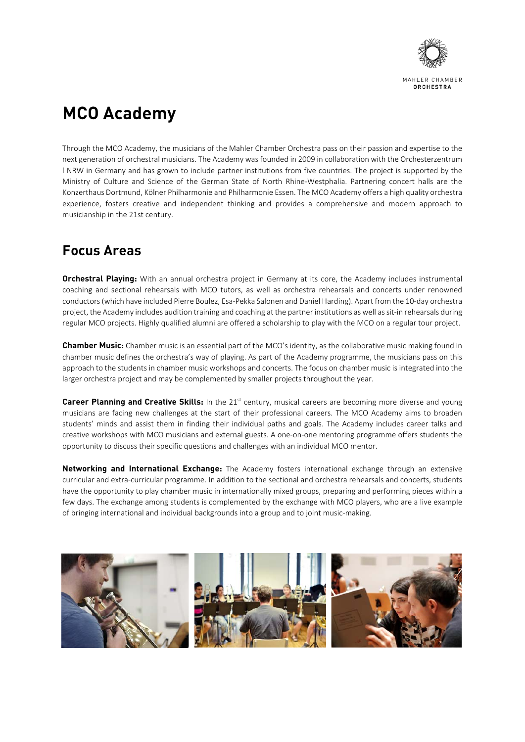

# **MCO Academy**

Through the MCO Academy, the musicians of the Mahler Chamber Orchestra pass on their passion and expertise to the next generation of orchestral musicians. The Academy was founded in 2009 in collaboration with the Orchesterzentrum l NRW in Germany and has grown to include partner institutions from five countries. The project is supported by the Ministry of Culture and Science of the German State of North Rhine‐Westphalia. Partnering concert halls are the Konzerthaus Dortmund, Kölner Philharmonie and Philharmonie Essen. The MCO Academy offers a high quality orchestra experience, fosters creative and independent thinking and provides a comprehensive and modern approach to musicianship in the 21st century.

## **Focus Areas**

**Orchestral Playing:** With an annual orchestra project in Germany at its core, the Academy includes instrumental coaching and sectional rehearsals with MCO tutors, as well as orchestra rehearsals and concerts under renowned conductors(which have included Pierre Boulez, Esa‐Pekka Salonen and Daniel Harding). Apart from the 10‐day orchestra project, the Academy includes audition training and coaching at the partner institutions as well as sit-in rehearsals during regular MCO projects. Highly qualified alumni are offered a scholarship to play with the MCO on a regular tour project.

**Chamber Music:** Chamber music is an essential part of the MCO's identity, as the collaborative music making found in chamber music defines the orchestra's way of playing. As part of the Academy programme, the musicians pass on this approach to the students in chamber music workshops and concerts. The focus on chamber music is integrated into the larger orchestra project and may be complemented by smaller projects throughout the year.

**Career Planning and Creative Skills:** In the 21<sup>st</sup> century, musical careers are becoming more diverse and young musicians are facing new challenges at the start of their professional careers. The MCO Academy aims to broaden students' minds and assist them in finding their individual paths and goals. The Academy includes career talks and creative workshops with MCO musicians and external guests. A one‐on‐one mentoring programme offers students the opportunity to discuss their specific questions and challenges with an individual MCO mentor.

**Networking and International Exchange:** The Academy fosters international exchange through an extensive curricular and extra‐curricular programme. In addition to the sectional and orchestra rehearsals and concerts, students have the opportunity to play chamber music in internationally mixed groups, preparing and performing pieces within a few days. The exchange among students is complemented by the exchange with MCO players, who are a live example of bringing international and individual backgrounds into a group and to joint music‐making.